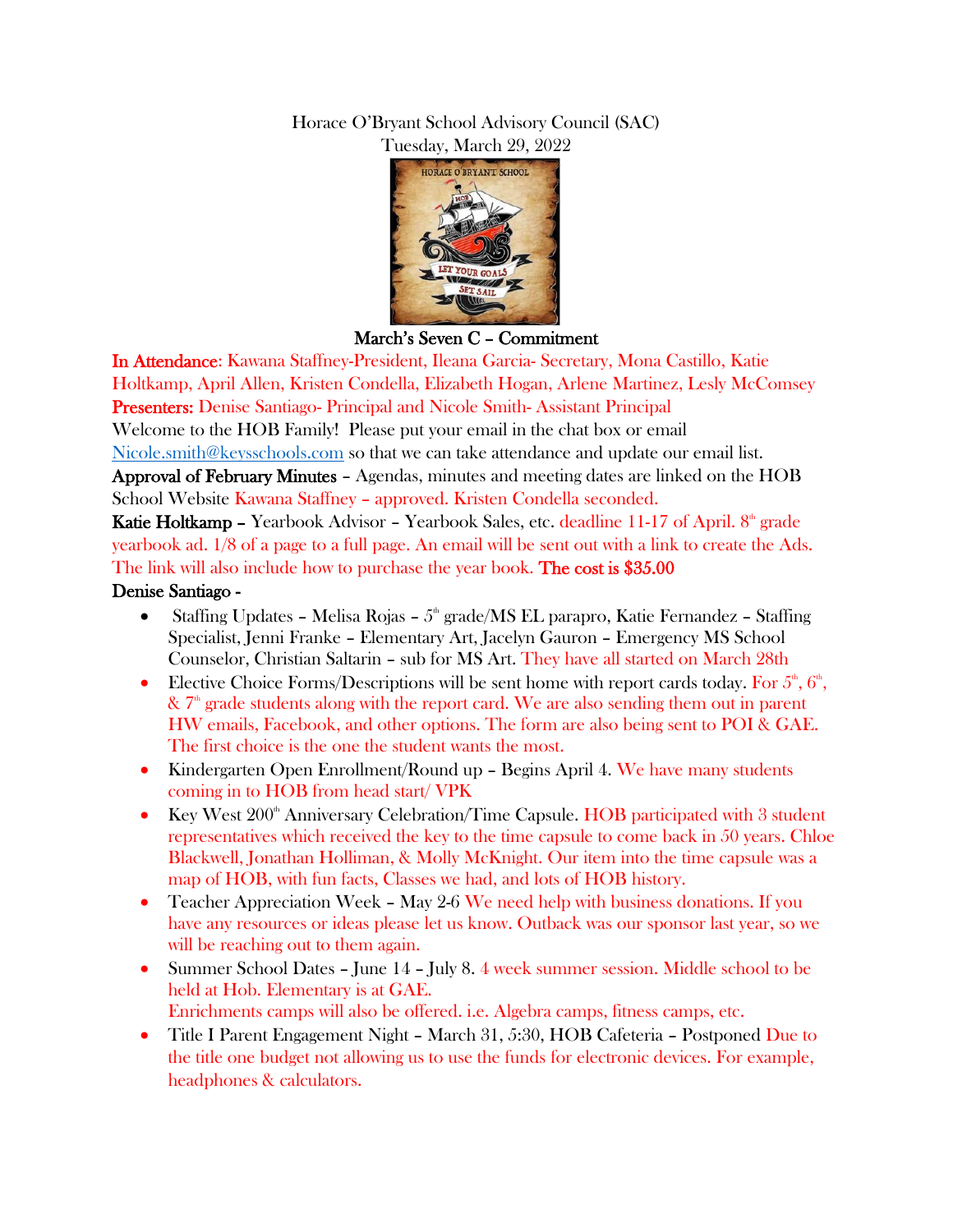## Horace O'Bryant School Advisory Council (SAC) Tuesday, March 29, 2022



March's Seven C – Commitment

In Attendance: Kawana Staffney-President, Ileana Garcia- Secretary, Mona Castillo, Katie Holtkamp, April Allen, Kristen Condella, Elizabeth Hogan, Arlene Martinez, Lesly McComsey Presenters: Denise Santiago- Principal and Nicole Smith- Assistant Principal Welcome to the HOB Family! Please put your email in the chat box or email [Nicole.smith@keysschools.com](mailto:Nicole.smith@keysschools.com) so that we can take attendance and update our email list.

Approval of February Minutes – Agendas, minutes and meeting dates are linked on the HOB School Website Kawana Staffney – approved. Kristen Condella seconded.

Katie Holtkamp – Yearbook Advisor – Yearbook Sales, etc. deadline 11-17 of April. 8<sup>th</sup> grade yearbook ad. 1/8 of a page to a full page. An email will be sent out with a link to create the Ads. The link will also include how to purchase the year book. The cost is \$35.00 Denise Santiago -

- Staffing Updates Melisa Rojas  $5^{\text{th}}$  grade/MS EL parapro, Katie Fernandez Staffing Specialist, Jenni Franke – Elementary Art, Jacelyn Gauron – Emergency MS School Counselor, Christian Saltarin – sub for MS Art. They have all started on March 28th
- Elective Choice Forms/Descriptions will be sent home with report cards today. For  $5^{\text{th}}$ ,  $6^{\text{th}}$ ,  $\&$  7<sup>th</sup> grade students along with the report card. We are also sending them out in parent HW emails, Facebook, and other options. The form are also being sent to POI & GAE. The first choice is the one the student wants the most.
- Kindergarten Open Enrollment/Round up Begins April 4. We have many students coming in to HOB from head start/ VPK
- Europe Key West  $200^{\circ}$  Anniversary Celebration/Time Capsule. HOB participated with 3 student representatives which received the key to the time capsule to come back in 50 years. Chloe Blackwell, Jonathan Holliman, & Molly McKnight. Our item into the time capsule was a map of HOB, with fun facts, Classes we had, and lots of HOB history.
- Teacher Appreciation Week May 2-6 We need help with business donations. If you have any resources or ideas please let us know. Outback was our sponsor last year, so we will be reaching out to them again.
- Summer School Dates June 14 July 8. 4 week summer session. Middle school to be held at Hob. Elementary is at GAE. Enrichments camps will also be offered. i.e. Algebra camps, fitness camps, etc.
- Title I Parent Engagement Night March 31, 5:30, HOB Cafeteria Postponed Due to the title one budget not allowing us to use the funds for electronic devices. For example, headphones & calculators.